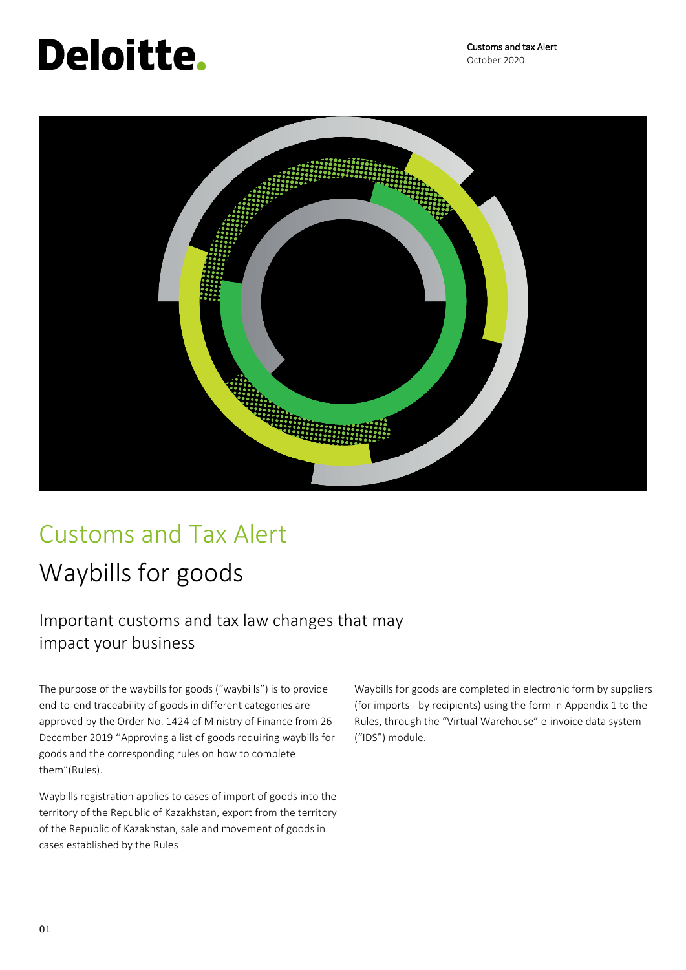# **Deloitte.**

Customs and tax Alert October 2020



### Customs and Tax Alert

## Waybills for goods

### Important customs and tax law changes that may impact your business

The purpose of the waybills for goods ("waybills") is to provide end-to-end traceability of goods in different categories are approved by the Order No. 1424 of Ministry of Finance from 26 December 2019 ''Approving a list of goods requiring waybills for goods and the corresponding rules on how to complete them"(Rules).

Waybills registration applies to cases of import of goods into the territory of the Republic of Kazakhstan, export from the territory of the Republic of Kazakhstan, sale and movement of goods in cases established by the Rules

Waybills for goods are completed in electronic form by suppliers (for imports - by recipients) using the form in Appendix 1 to the Rules, through the "Virtual Warehouse" e-invoice data system ("IDS") module.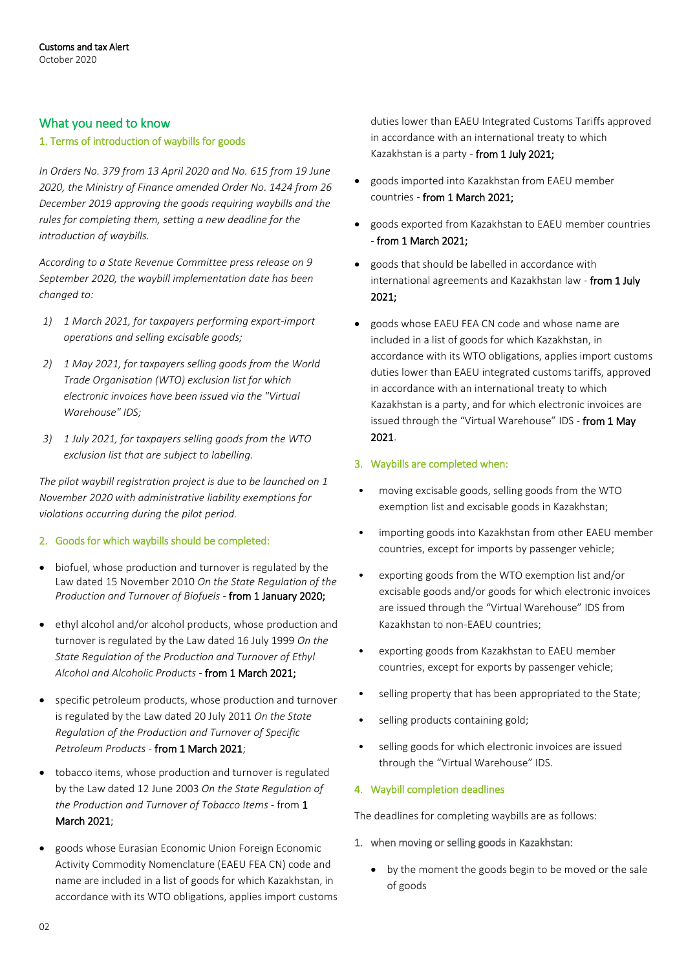#### What you need to know

#### 1. Terms of introduction of waybills for goods

*In Orders No. 379 from 13 April 2020 and No. 615 from 19 June 2020, the Ministry of Finance amended Order No. 1424 from 26 December 2019 approving the goods requiring waybills and the rules for completing them, setting a new deadline for the introduction of waybills.*

*According to a State Revenue Committee press release on 9 September 2020, the waybill implementation date has been changed to:*

- *1) 1 March 2021, for taxpayers performing export-import operations and selling excisable goods;*
- *2) 1 May 2021, for taxpayers selling goods from the World Trade Organisation (WTO) exclusion list for which electronic invoices have been issued via the "Virtual Warehouse" IDS;*
- *3) 1 July 2021, for taxpayers selling goods from the WTO exclusion list that are subject to labelling.*

*The pilot waybill registration project is due to be launched on 1 November 2020 with administrative liability exemptions for violations occurring during the pilot period.*

#### 2. Goods for which waybills should be completed:

- biofuel, whose production and turnover is regulated by the Law dated 15 November 2010 *On the State Regulation of the Production and Turnover of Biofuels* - from 1 January 2020;
- ethyl alcohol and/or alcohol products, whose production and turnover is regulated by the Law dated 16 July 1999 *On the State Regulation of the Production and Turnover of Ethyl Alcohol and Alcoholic Products* - from 1 March 2021;
- specific petroleum products, whose production and turnover is regulated by the Law dated 20 July 2011 *On the State Regulation of the Production and Turnover of Specific Petroleum Products* - from 1 March 2021;
- tobacco items, whose production and turnover is regulated by the Law dated 12 June 2003 *On the State Regulation of the Production and Turnover of Tobacco Items* - from 1 March 2021;
- goods whose Eurasian Economic Union Foreign Economic Activity Commodity Nomenclature (EAEU FEA CN) code and name are included in a list of goods for which Kazakhstan, in accordance with its WTO obligations, applies import customs

duties lower than EAEU Integrated Customs Tariffs approved in accordance with an international treaty to which Kazakhstan is a party - from 1 July 2021;

- goods imported into Kazakhstan from EAEU member countries - from 1 March 2021;
- goods exported from Kazakhstan to EAEU member countries - from 1 March 2021;
- goods that should be labelled in accordance with international agreements and Kazakhstan law - from 1 July 2021;
- goods whose EAEU FEA CN code and whose name are included in a list of goods for which Kazakhstan, in accordance with its WTO obligations, applies import customs duties lower than EAEU integrated customs tariffs, approved in accordance with an international treaty to which Kazakhstan is a party, and for which electronic invoices are issued through the "Virtual Warehouse" IDS - from 1 May 2021.

#### 3. Waybills are completed when:

- moving excisable goods, selling goods from the WTO exemption list and excisable goods in Kazakhstan;
- importing goods into Kazakhstan from other EAEU member countries, except for imports by passenger vehicle;
- exporting goods from the WTO exemption list and/or excisable goods and/or goods for which electronic invoices are issued through the "Virtual Warehouse" IDS from Kazakhstan to non-EAEU countries;
- exporting goods from Kazakhstan to EAEU member countries, except for exports by passenger vehicle;
- selling property that has been appropriated to the State;
- selling products containing gold;
- selling goods for which electronic invoices are issued through the "Virtual Warehouse" IDS.

#### 4. Waybill completion deadlines

The deadlines for completing waybills are as follows:

- 1. when moving or selling goods in Kazakhstan:
	- by the moment the goods begin to be moved or the sale of goods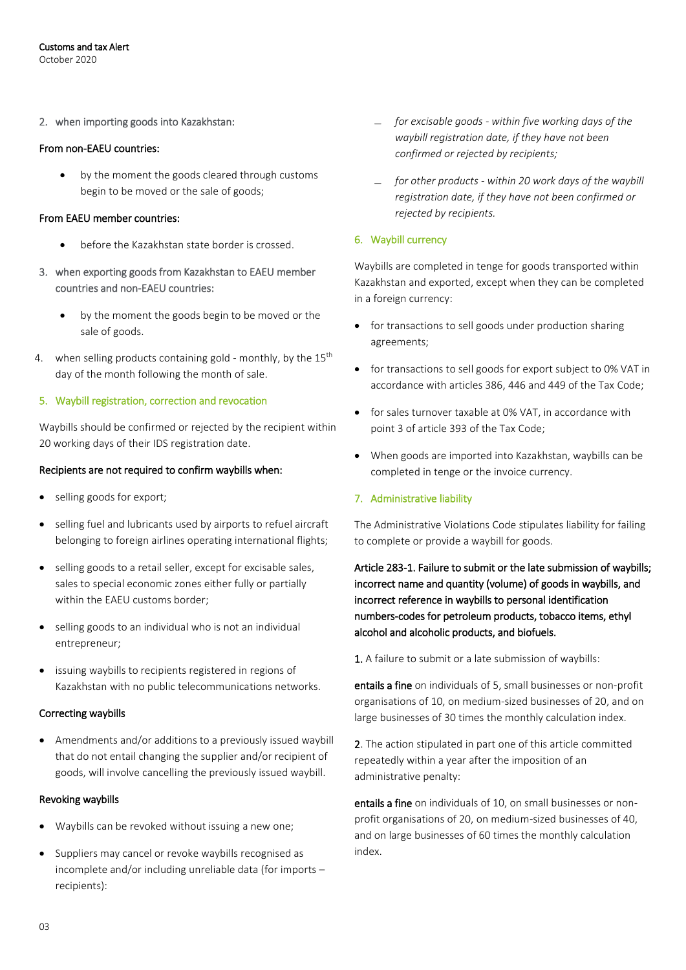2. when importing goods into Kazakhstan:

#### From non-EAEU countries:

• by the moment the goods cleared through customs begin to be moved or the sale of goods;

#### From EAEU member countries:

- before the Kazakhstan state border is crossed.
- 3. when exporting goods from Kazakhstan to EAEU member countries and non-EAEU countries:
	- by the moment the goods begin to be moved or the sale of goods.
- 4. when selling products containing gold monthly, by the  $15<sup>th</sup>$ day of the month following the month of sale.

#### 5. Waybill registration, correction and revocation

Waybills should be confirmed or rejected by the recipient within 20 working days of their IDS registration date.

#### Recipients are not required to confirm waybills when:

- selling goods for export;
- selling fuel and lubricants used by airports to refuel aircraft belonging to foreign airlines operating international flights;
- selling goods to a retail seller, except for excisable sales, sales to special economic zones either fully or partially within the EAEU customs border;
- selling goods to an individual who is not an individual entrepreneur;
- issuing waybills to recipients registered in regions of Kazakhstan with no public telecommunications networks.

#### Correcting waybills

 Amendments and/or additions to a previously issued waybill that do not entail changing the supplier and/or recipient of goods, will involve cancelling the previously issued waybill.

#### Revoking waybills

- Waybills can be revoked without issuing a new one;
- Suppliers may cancel or revoke waybills recognised as incomplete and/or including unreliable data (for imports – recipients):
- ̶ *for excisable goods - within five working days of the waybill registration date, if they have not been confirmed or rejected by recipients;*
- ̶ *for other products - within 20 work days of the waybill registration date, if they have not been confirmed or rejected by recipients.*

#### 6. Waybill currency

Waybills are completed in tenge for goods transported within Kazakhstan and exported, except when they can be completed in a foreign currency:

- for transactions to sell goods under production sharing agreements;
- for transactions to sell goods for export subject to 0% VAT in accordance with articles 386, 446 and 449 of the Tax Code;
- for sales turnover taxable at 0% VAT, in accordance with point 3 of article 393 of the Tax Code;
- When goods are imported into Kazakhstan, waybills can be completed in tenge or the invoice currency.

#### 7. Administrative liability

The Administrative Violations Code stipulates liability for failing to complete or provide a waybill for goods.

Article 283-1. Failure to submit or the late submission of waybills; incorrect name and quantity (volume) of goods in waybills, and incorrect reference in waybills to personal identification numbers-codes for petroleum products, tobacco items, ethyl alcohol and alcoholic products, and biofuels.

1. A failure to submit or a late submission of waybills:

entails a fine on individuals of 5, small businesses or non-profit organisations of 10, on medium-sized businesses of 20, and on large businesses of 30 times the monthly calculation index.

2. The action stipulated in part one of this article committed repeatedly within a year after the imposition of an administrative penalty:

entails a fine on individuals of 10, on small businesses or nonprofit organisations of 20, on medium-sized businesses of 40, and on large businesses of 60 times the monthly calculation index.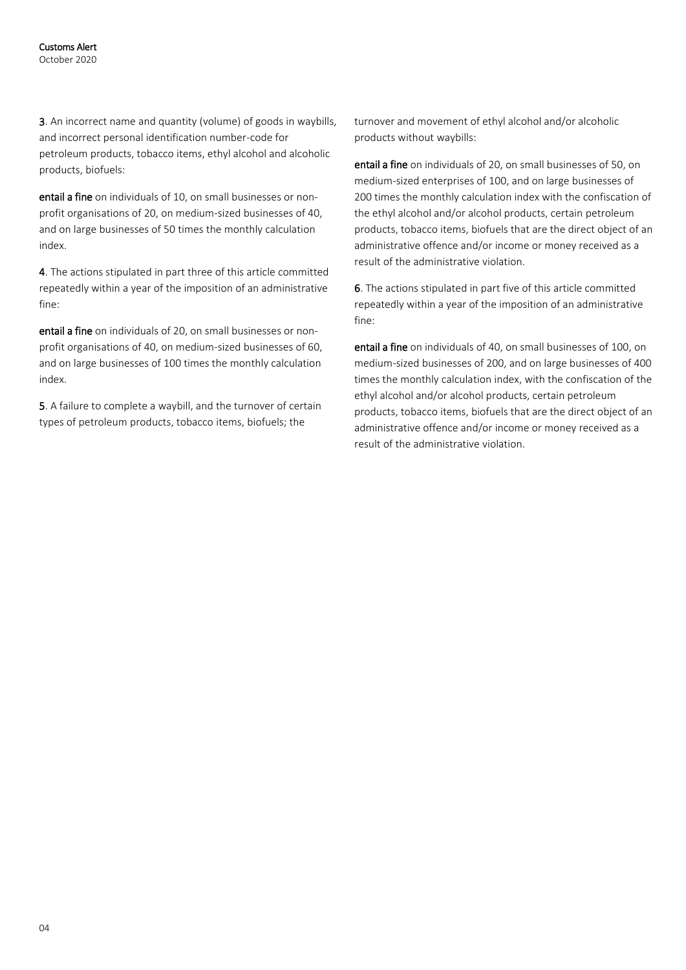3. An incorrect name and quantity (volume) of goods in waybills, and incorrect personal identification number-code for petroleum products, tobacco items, ethyl alcohol and alcoholic products, biofuels:

entail a fine on individuals of 10, on small businesses or nonprofit organisations of 20, on medium-sized businesses of 40, and on large businesses of 50 times the monthly calculation index.

4. The actions stipulated in part three of this article committed repeatedly within a year of the imposition of an administrative fine:

entail a fine on individuals of 20, on small businesses or nonprofit organisations of 40, on medium-sized businesses of 60, and on large businesses of 100 times the monthly calculation index.

5. A failure to complete a waybill, and the turnover of certain types of petroleum products, tobacco items, biofuels; the

turnover and movement of ethyl alcohol and/or alcoholic products without waybills:

entail a fine on individuals of 20, on small businesses of 50, on medium-sized enterprises of 100, and on large businesses of 200 times the monthly calculation index with the confiscation of the ethyl alcohol and/or alcohol products, certain petroleum products, tobacco items, biofuels that are the direct object of an administrative offence and/or income or money received as a result of the administrative violation.

6. The actions stipulated in part five of this article committed repeatedly within a year of the imposition of an administrative fine:

entail a fine on individuals of 40, on small businesses of 100, on medium-sized businesses of 200, and on large businesses of 400 times the monthly calculation index, with the confiscation of the ethyl alcohol and/or alcohol products, certain petroleum products, tobacco items, biofuels that are the direct object of an administrative offence and/or income or money received as a result of the administrative violation.